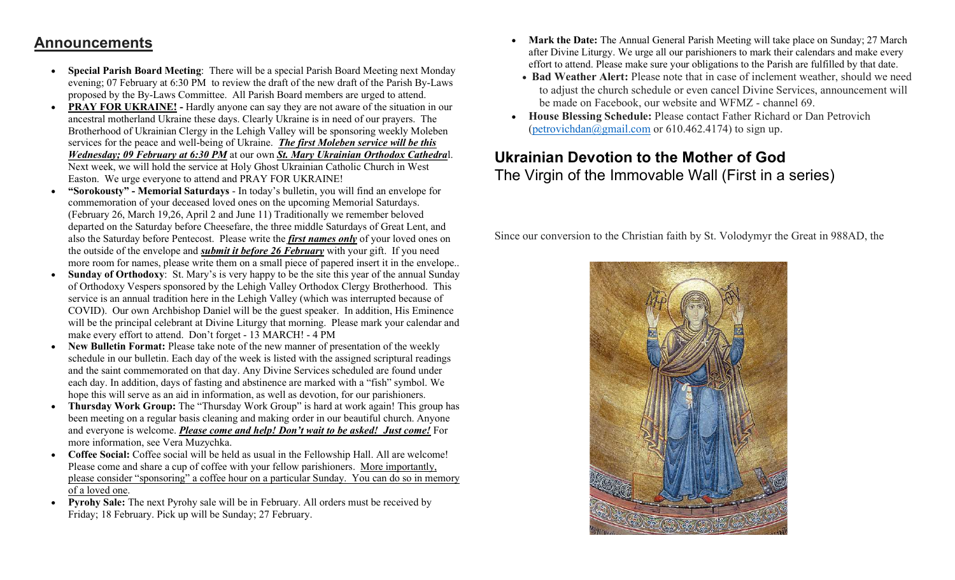## Announcements

- Special Parish Board Meeting: There will be a special Parish Board Meeting next Monday evening; 07 February at 6:30 PM to review the draft of the new draft of the Parish By-Laws proposed by the By-Laws Committee. All Parish Board members are urged to attend.
- PRAY FOR UKRAINE! Hardly anyone can say they are not aware of the situation in our ancestral motherland Ukraine these days. Clearly Ukraine is in need of our prayers. The Brotherhood of Ukrainian Clergy in the Lehigh Valley will be sponsoring weekly Moleben services for the peace and well-being of Ukraine. The first Moleben service will be this Wednesday; 09 February at 6:30 PM at our own St. Mary Ukrainian Orthodox Cathedral. Next week, we will hold the service at Holy Ghost Ukrainian Catholic Church in West Easton. We urge everyone to attend and PRAY FOR UKRAINE!
- "Sorokousty" Memorial Saturdays In today's bulletin, you will find an envelope for commemoration of your deceased loved ones on the upcoming Memorial Saturdays. (February 26, March 19,26, April 2 and June 11) Traditionally we remember beloved departed on the Saturday before Cheesefare, the three middle Saturdays of Great Lent, and also the Saturday before Pentecost. Please write the *first names only* of your loved ones on the outside of the envelope and *submit it before 26 February* with your gift. If you need more room for names, please write them on a small piece of papered insert it in the envelope..
- Sunday of Orthodoxy: St. Mary's is very happy to be the site this year of the annual Sunday of Orthodoxy Vespers sponsored by the Lehigh Valley Orthodox Clergy Brotherhood. This service is an annual tradition here in the Lehigh Valley (which was interrupted because of COVID). Our own Archbishop Daniel will be the guest speaker. In addition, His Eminence will be the principal celebrant at Divine Liturgy that morning. Please mark your calendar and make every effort to attend. Don't forget - 13 MARCH! - 4 PM
- New Bulletin Format: Please take note of the new manner of presentation of the weekly schedule in our bulletin. Each day of the week is listed with the assigned scriptural readings and the saint commemorated on that day. Any Divine Services scheduled are found under each day. In addition, days of fasting and abstinence are marked with a "fish" symbol. We hope this will serve as an aid in information, as well as devotion, for our parishioners.
- Thursday Work Group: The "Thursday Work Group" is hard at work again! This group has been meeting on a regular basis cleaning and making order in our beautiful church. Anyone and everyone is welcome. Please come and help! Don't wait to be asked! Just come! For more information, see Vera Muzychka.
- Coffee Social: Coffee social will be held as usual in the Fellowship Hall. All are welcome! Please come and share a cup of coffee with your fellow parishioners. More importantly, please consider "sponsoring" a coffee hour on a particular Sunday. You can do so in memory of a loved one.
- Pyrohy Sale: The next Pyrohy sale will be in February. All orders must be received by Friday; 18 February. Pick up will be Sunday; 27 February.
- Mark the Date: The Annual General Parish Meeting will take place on Sunday; 27 March after Divine Liturgy. We urge all our parishioners to mark their calendars and make every effort to attend. Please make sure your obligations to the Parish are fulfilled by that date.
- Bad Weather Alert: Please note that in case of inclement weather, should we need to adjust the church schedule or even cancel Divine Services, announcement will be made on Facebook, our website and WFMZ - channel 69.
- House Blessing Schedule: Please contact Father Richard or Dan Petrovich (petrovichdan@gmail.com or 610.462.4174) to sign up.

## Ukrainian Devotion to the Mother of God The Virgin of the Immovable Wall (First in a series)

Since our conversion to the Christian faith by St. Volodymyr the Great in 988AD, the